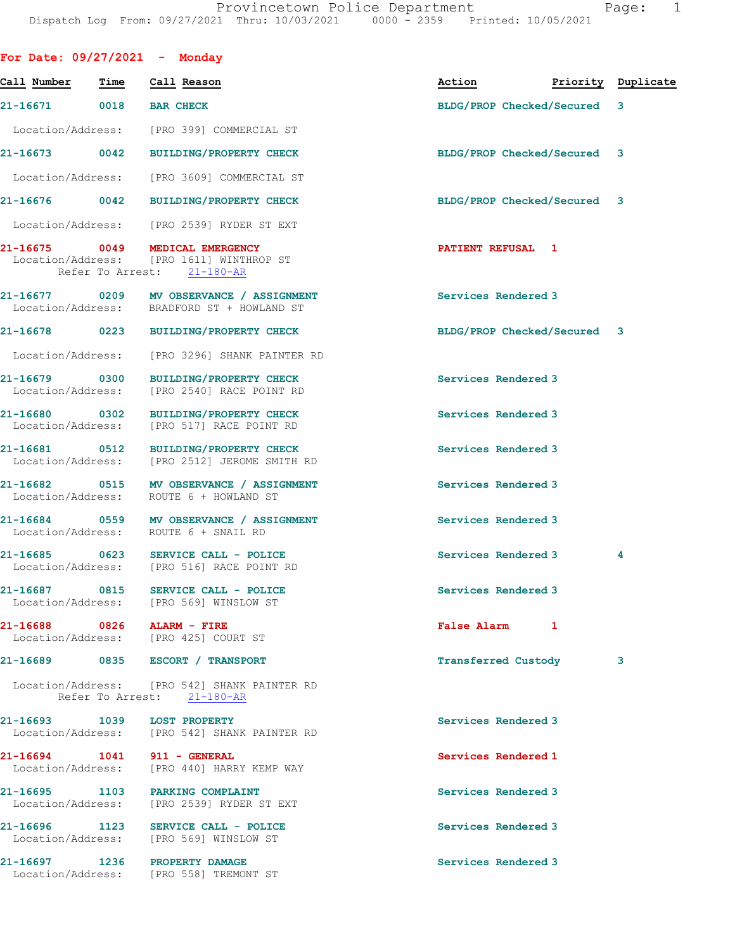| For Date: $09/27/2021$ - Monday    |      |                                                                                             |                             |                    |
|------------------------------------|------|---------------------------------------------------------------------------------------------|-----------------------------|--------------------|
| Call Number                        | Time | Call Reason                                                                                 | Action                      | Priority Duplicate |
| 21-16671                           | 0018 | <b>BAR CHECK</b>                                                                            | BLDG/PROP Checked/Secured   | 3                  |
| Location/Address:                  |      | [PRO 399] COMMERCIAL ST                                                                     |                             |                    |
| 21-16673 0042                      |      | <b>BUILDING/PROPERTY CHECK</b>                                                              | BLDG/PROP Checked/Secured 3 |                    |
| Location/Address:                  |      | [PRO 3609] COMMERCIAL ST                                                                    |                             |                    |
| 21-16676 0042                      |      | <b>BUILDING/PROPERTY CHECK</b>                                                              | BLDG/PROP Checked/Secured 3 |                    |
|                                    |      | Location/Address: [PRO 2539] RYDER ST EXT                                                   |                             |                    |
| 21-16675                           | 0049 | MEDICAL EMERGENCY<br>Location/Address: [PRO 1611] WINTHROP ST<br>Refer To Arrest: 21-180-AR | PATIENT REFUSAL 1           |                    |
| 21-16677 0209                      |      | MV OBSERVANCE / ASSIGNMENT<br>Location/Address: BRADFORD ST + HOWLAND ST                    | Services Rendered 3         |                    |
| 21-16678                           |      | 0223 BUILDING/PROPERTY CHECK                                                                | BLDG/PROP Checked/Secured 3 |                    |
| Location/Address:                  |      | [PRO 3296] SHANK PAINTER RD                                                                 |                             |                    |
| 21-16679 0300<br>Location/Address: |      | <b>BUILDING/PROPERTY CHECK</b><br>[PRO 2540] RACE POINT RD                                  | Services Rendered 3         |                    |
| 21-16680 0302<br>Location/Address: |      | <b>BUILDING/PROPERTY CHECK</b><br>[PRO 517] RACE POINT RD                                   | Services Rendered 3         |                    |
| 21-16681 0512<br>Location/Address: |      | BUILDING/PROPERTY CHECK<br>[PRO 2512] JEROME SMITH RD                                       | Services Rendered 3         |                    |
| 21-16682<br>Location/Address:      | 0515 | MV OBSERVANCE / ASSIGNMENT<br>ROUTE 6 + HOWLAND ST                                          | Services Rendered 3         |                    |
| 21-16684 0559                      |      | MV OBSERVANCE / ASSIGNMENT<br>Location/Address: ROUTE 6 + SNAIL RD                          | Services Rendered 3         |                    |
| $21 - 16685$                       | 0623 | SERVICE CALL - POLICE<br>Location/Address: [PRO 516] RACE POINT RD                          | Services Rendered 3         | 4                  |
| 21-16687                           | 0815 | SERVICE CALL - POLICE<br>Location/Address: [PRO 569] WINSLOW ST                             | Services Rendered 3         |                    |
| 21-16688 0826 ALARM - FIRE         |      | Location/Address: [PRO 425] COURT ST                                                        | False Alarm 1               |                    |
| 21-16689                           |      | 0835 ESCORT / TRANSPORT                                                                     | Transferred Custody         | 3                  |
|                                    |      | Location/Address: [PRO 542] SHANK PAINTER RD<br>Refer To Arrest: 21-180-AR                  |                             |                    |
| 21-16693 1039                      |      | <b>LOST PROPERTY</b><br>Location/Address: [PRO 542] SHANK PAINTER RD                        | Services Rendered 3         |                    |
|                                    |      | 21-16694 1041 911 - GENERAL<br>Location/Address: [PRO 440] HARRY KEMP WAY                   | Services Rendered 1         |                    |
| Location/Address:                  |      | 21-16695 1103 PARKING COMPLAINT<br>[PRO 2539] RYDER ST EXT                                  | Services Rendered 3         |                    |
|                                    |      | 21-16696 1123 SERVICE CALL - POLICE<br>Location/Address: [PRO 569] WINSLOW ST               | Services Rendered 3         |                    |
|                                    |      | 21-16697 1236 PROPERTY DAMAGE<br>Location/Address: [PRO 558] TREMONT ST                     | Services Rendered 3         |                    |
|                                    |      |                                                                                             |                             |                    |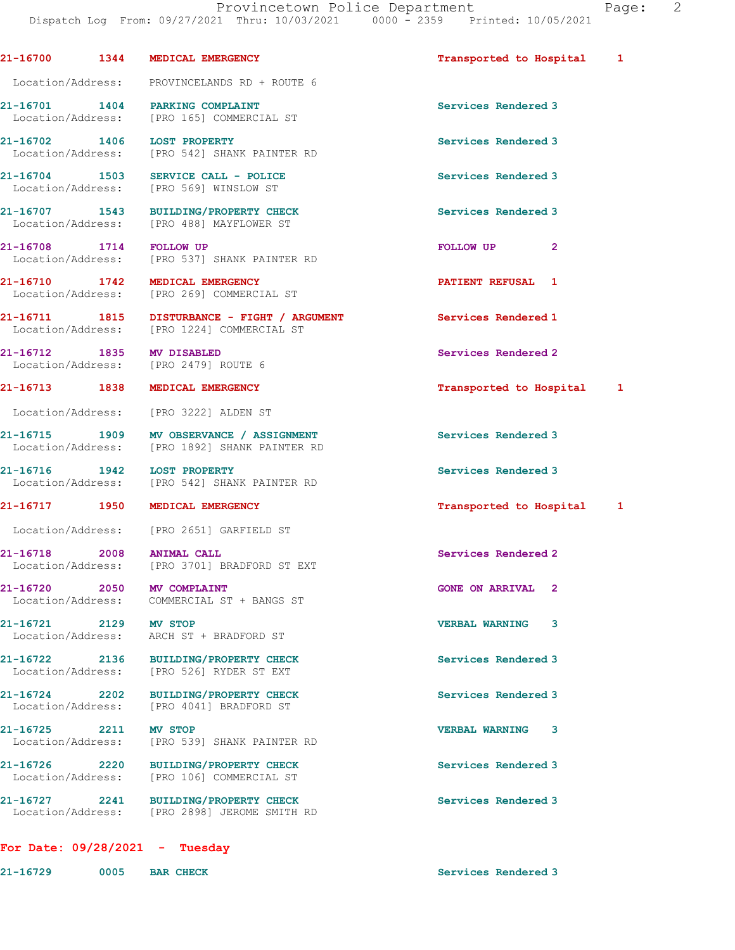21-16700 1344 MEDICAL EMERGENCY Transported to Hospital 1 Location/Address: PROVINCELANDS RD + ROUTE 6

21-16701 1404 PARKING COMPLAINT Services Rendered 3 Location/Address: [PRO 165] COMMERCIAL ST

21-16702 1406 LOST PROPERTY Services Rendered 3 Location/Address: [PRO 542] SHANK PAINTER RD

21-16704 1503 SERVICE CALL - POLICE 1988 Services Rendered 3 Location/Address: [PRO 569] WINSLOW ST

21-16707 1543 BUILDING/PROPERTY CHECK Services Rendered 3 Location/Address: [PRO 488] MAYFLOWER ST

21-16708 1714 FOLLOW UP **FOLLOW UP** 2 Location/Address: [PRO 537] SHANK PAINTER RD

21-16710 1742 MEDICAL EMERGENCY **121-16710 PATIENT REFUSAL** 1 Location/Address: [PRO 269] COMMERCIAL ST

21-16711 1815 DISTURBANCE - FIGHT / ARGUMENT Services Rendered 1 Location/Address: [PRO 1224] COMMERCIAL ST

21-16712 1835 MV DISABLED<br>
Location/Address: [PRO 2479] ROUTE 6

Location/Address:

Location/Address: [PRO 3222] ALDEN ST

21-16715 1909 MV OBSERVANCE / ASSIGNMENT Services Rendered 3<br>
Location/Address: [PRO 1892] SHANK PAINTER RD [PRO 1892] SHANK PAINTER RD

21-16716 1942 LOST PROPERTY Services Rendered 3 Location/Address: [PRO 542] SHANK PAINTER RD

Location/Address: [PRO 2651] GARFIELD ST

21-16718 2008 ANIMAL CALL Services Rendered 2 Location/Address: [PRO 3701] BRADFORD ST EXT

21-16720 2050 MV COMPLAINT GONE ON ARRIVAL 2 Location/Address: COMMERCIAL ST + BANGS ST

Location/Address: ARCH ST + BRADFORD ST

21-16722 2136 BUILDING/PROPERTY CHECK Services Rendered 3 Location/Address: [PRO 526] RYDER ST EXT

21-16724 2202 BUILDING/PROPERTY CHECK Services Rendered 3 Location/Address: [PRO 4041] BRADFORD ST

21-16725 2211 MV STOP VERBAL WARNING 3 Location/Address: [PRO 539] SHANK PAINTER RD

21-16726 2220 BUILDING/PROPERTY CHECK Services Rendered 3 Location/Address: [PRO 106] COMMERCIAL ST

21-16727 2241 BUILDING/PROPERTY CHECK Services Rendered 3 Location/Address: [PRO 2898] JEROME SMITH RD

## For Date: 09/28/2021 - Tuesday

21-16729 0005 BAR CHECK Services Rendered 3

21-16713 1838 MEDICAL EMERGENCY Transported to Hospital 1

21-16717 1950 MEDICAL EMERGENCY 1988 12 Transported to Hospital 1

21-16721 2129 MV STOP VERBAL WARNING 3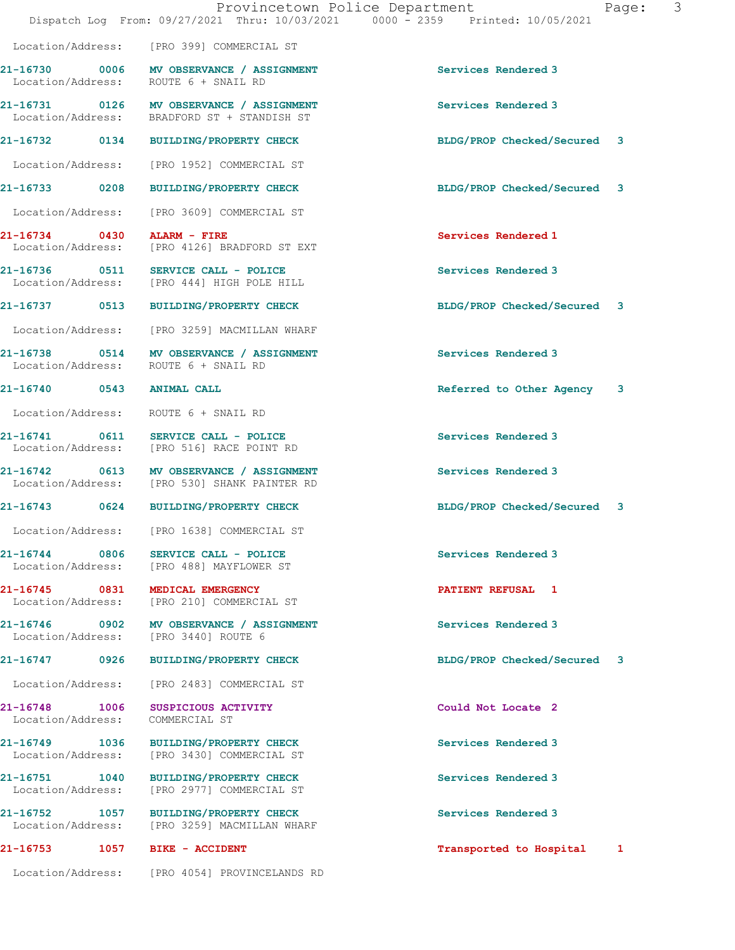|                               |                                                                                          | Provincetown Police Department<br>Dispatch Log From: 09/27/2021 Thru: 10/03/2021 0000 - 2359 Printed: 10/05/2021 | Page: | 3 |
|-------------------------------|------------------------------------------------------------------------------------------|------------------------------------------------------------------------------------------------------------------|-------|---|
|                               | Location/Address: [PRO 399] COMMERCIAL ST                                                |                                                                                                                  |       |   |
|                               | 21-16730 0006 MV OBSERVANCE / ASSIGNMENT<br>Location/Address: ROUTE 6 + SNAIL RD         | Services Rendered 3                                                                                              |       |   |
|                               | 21-16731 0126 MV OBSERVANCE / ASSIGNMENT<br>Location/Address: BRADFORD ST + STANDISH ST  | Services Rendered 3                                                                                              |       |   |
|                               | 21-16732 0134 BUILDING/PROPERTY CHECK                                                    | BLDG/PROP Checked/Secured 3                                                                                      |       |   |
|                               | Location/Address: [PRO 1952] COMMERCIAL ST                                               |                                                                                                                  |       |   |
|                               | 21-16733 0208 BUILDING/PROPERTY CHECK                                                    | BLDG/PROP Checked/Secured 3                                                                                      |       |   |
|                               | Location/Address: [PRO 3609] COMMERCIAL ST                                               |                                                                                                                  |       |   |
| $21-16734$ 0430 ALARM - FIRE  | Location/Address: [PRO 4126] BRADFORD ST EXT                                             | Services Rendered 1                                                                                              |       |   |
|                               | 21-16736 0511 SERVICE CALL - POLICE<br>Location/Address: [PRO 444] HIGH POLE HILL        | Services Rendered 3                                                                                              |       |   |
|                               | 21-16737 0513 BUILDING/PROPERTY CHECK                                                    | BLDG/PROP Checked/Secured 3                                                                                      |       |   |
|                               | Location/Address: [PRO 3259] MACMILLAN WHARF                                             |                                                                                                                  |       |   |
|                               | 21-16738 0514 MV OBSERVANCE / ASSIGNMENT<br>Location/Address: ROUTE 6 + SNAIL RD         | Services Rendered 3                                                                                              |       |   |
| 21-16740 0543 ANIMAL CALL     |                                                                                          | Referred to Other Agency 3                                                                                       |       |   |
|                               | Location/Address: ROUTE 6 + SNAIL RD                                                     |                                                                                                                  |       |   |
|                               | 21-16741 0611 SERVICE CALL - POLICE<br>Location/Address: [PRO 516] RACE POINT RD         | Services Rendered 3                                                                                              |       |   |
|                               | 21-16742 0613 MV OBSERVANCE / ASSIGNMENT<br>Location/Address: [PRO 530] SHANK PAINTER RD | Services Rendered 3                                                                                              |       |   |
|                               | 21-16743 0624 BUILDING/PROPERTY CHECK                                                    | BLDG/PROP Checked/Secured 3                                                                                      |       |   |
|                               | Location/Address: [PRO 1638] COMMERCIAL ST                                               |                                                                                                                  |       |   |
| 21-16744 0806                 | SERVICE CALL - POLICE<br>Location/Address: [PRO 488] MAYFLOWER ST                        | Services Rendered 3                                                                                              |       |   |
|                               | 21-16745 0831 MEDICAL EMERGENCY<br>Location/Address: [PRO 210] COMMERCIAL ST             | PATIENT REFUSAL 1                                                                                                |       |   |
|                               | 21-16746 0902 MV OBSERVANCE / ASSIGNMENT<br>Location/Address: [PRO 3440] ROUTE 6         | Services Rendered 3                                                                                              |       |   |
|                               | 21-16747 0926 BUILDING/PROPERTY CHECK                                                    | BLDG/PROP Checked/Secured 3                                                                                      |       |   |
| Location/Address:             | [PRO 2483] COMMERCIAL ST                                                                 |                                                                                                                  |       |   |
| Location/Address:             | 21-16748 1006 SUSPICIOUS ACTIVITY<br>COMMERCIAL ST                                       | Could Not Locate 2                                                                                               |       |   |
| Location/Address:             | 21-16749 1036 BUILDING/PROPERTY CHECK<br>[PRO 3430] COMMERCIAL ST                        | Services Rendered 3                                                                                              |       |   |
| Location/Address:             | 21-16751 1040 BUILDING/PROPERTY CHECK<br>[PRO 2977] COMMERCIAL ST                        | Services Rendered 3                                                                                              |       |   |
|                               | 21-16752 1057 BUILDING/PROPERTY CHECK<br>Location/Address: [PRO 3259] MACMILLAN WHARF    | Services Rendered 3                                                                                              |       |   |
| 21-16753 1057 BIKE - ACCIDENT |                                                                                          | Transported to Hospital 1                                                                                        |       |   |

Location/Address: [PRO 4054] PROVINCELANDS RD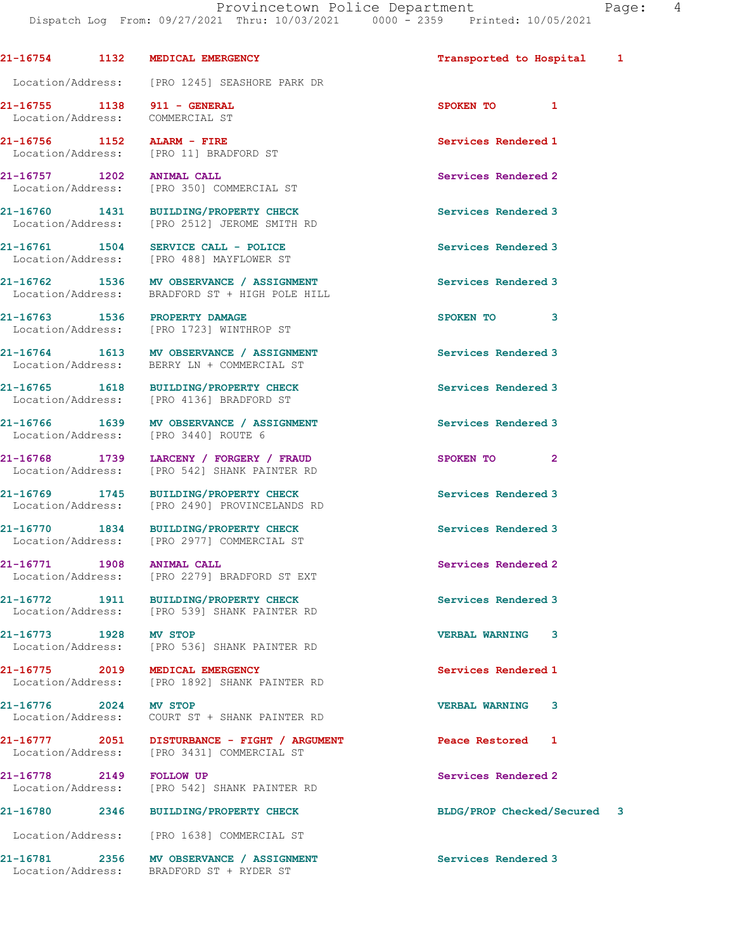|                       |      | 21-16754 1132 MEDICAL EMERGENCY                                                            | Transported to Hospital     | 1 |
|-----------------------|------|--------------------------------------------------------------------------------------------|-----------------------------|---|
|                       |      | Location/Address: [PRO 1245] SEASHORE PARK DR                                              |                             |   |
|                       |      | 21-16755 1138 911 - GENERAL                                                                | SPOKEN TO 1                 |   |
|                       |      | Location/Address: COMMERCIAL ST                                                            |                             |   |
|                       |      | 21-16756 1152 ALARM - FIRE                                                                 | Services Rendered 1         |   |
|                       |      | Location/Address: [PRO 11] BRADFORD ST                                                     |                             |   |
|                       |      | 21-16757 1202 ANIMAL CALL                                                                  | Services Rendered 2         |   |
|                       |      | Location/Address: [PRO 350] COMMERCIAL ST                                                  |                             |   |
|                       |      | 21-16760 1431 BUILDING/PROPERTY CHECK                                                      | Services Rendered 3         |   |
|                       |      | Location/Address: [PRO 2512] JEROME SMITH RD                                               |                             |   |
|                       |      |                                                                                            |                             |   |
|                       |      | 21-16761 1504 SERVICE CALL - POLICE<br>Location/Address: [PRO 488] MAYFLOWER ST            | Services Rendered 3         |   |
|                       |      |                                                                                            |                             |   |
|                       |      | 21-16762 1536 MV OBSERVANCE / ASSIGNMENT<br>Location/Address: BRADFORD ST + HIGH POLE HILL | Services Rendered 3         |   |
|                       |      |                                                                                            |                             |   |
|                       |      |                                                                                            | SPOKEN TO<br>3              |   |
|                       |      | 21-16763 1536 PROPERTY DAMAGE<br>Location/Address: [PRO 1723] WINTHROP ST                  |                             |   |
|                       |      |                                                                                            |                             |   |
|                       |      | 21-16764 1613 MV OBSERVANCE / ASSIGNMENT<br>Location/Address: BERRY LN + COMMERCIAL ST     | Services Rendered 3         |   |
|                       |      |                                                                                            |                             |   |
|                       |      | 21-16765 1618 BUILDING/PROPERTY CHECK                                                      | Services Rendered 3         |   |
|                       |      | Location/Address: [PRO 4136] BRADFORD ST                                                   |                             |   |
|                       |      | 21-16766 1639 MV OBSERVANCE / ASSIGNMENT                                                   | Services Rendered 3         |   |
|                       |      | Location/Address: [PRO 3440] ROUTE 6                                                       |                             |   |
|                       |      |                                                                                            |                             |   |
|                       |      | 21-16768 1739 LARCENY / FORGERY / FRAUD                                                    | SPOKEN TO 2                 |   |
|                       |      | Location/Address: [PRO 542] SHANK PAINTER RD                                               |                             |   |
|                       |      | 21-16769 1745 BUILDING/PROPERTY CHECK                                                      | Services Rendered 3         |   |
|                       |      | Location/Address: [PRO 2490] PROVINCELANDS RD                                              |                             |   |
|                       |      | 21-16770 1834 BUILDING/PROPERTY CHECK                                                      | Services Rendered 3         |   |
|                       |      | Location/Address: [PRO 2977] COMMERCIAL ST                                                 |                             |   |
|                       |      |                                                                                            |                             |   |
| 21-16771              | 1908 | <b>ANIMAL CALL</b>                                                                         | Services Rendered 2         |   |
|                       |      | Location/Address: [PRO 2279] BRADFORD ST EXT                                               |                             |   |
|                       |      |                                                                                            | Services Rendered 3         |   |
|                       |      | 21-16772 1911 BUILDING/PROPERTY CHECK<br>Location/Address: [PRO 539] SHANK PAINTER RD      |                             |   |
|                       |      |                                                                                            |                             |   |
|                       |      | 21-16773 1928 MV STOP<br>Location/Address: [PRO 536] SHANK PAINTER RD                      | <b>VERBAL WARNING</b><br>3  |   |
|                       |      |                                                                                            |                             |   |
|                       |      | 21-16775 2019 MEDICAL EMERGENCY                                                            | Services Rendered 1         |   |
|                       |      | Location/Address: [PRO 1892] SHANK PAINTER RD                                              |                             |   |
|                       |      |                                                                                            |                             |   |
| 21-16776 2024 MV STOP |      |                                                                                            | <b>VERBAL WARNING</b><br>3  |   |
|                       |      | Location/Address: COURT ST + SHANK PAINTER RD                                              |                             |   |
|                       |      | 21-16777 2051 DISTURBANCE - FIGHT / ARGUMENT                                               | Peace Restored<br>1         |   |
|                       |      | Location/Address: [PRO 3431] COMMERCIAL ST                                                 |                             |   |
|                       |      |                                                                                            |                             |   |
|                       |      | 21-16778 2149 FOLLOW UP<br>Location/Address: [PRO 542] SHANK PAINTER RD                    | Services Rendered 2         |   |
|                       |      |                                                                                            |                             |   |
|                       |      | 21-16780 2346 BUILDING/PROPERTY CHECK                                                      | BLDG/PROP Checked/Secured 3 |   |
|                       |      | Location/Address: [PRO 1638] COMMERCIAL ST                                                 |                             |   |
|                       |      |                                                                                            | Services Rendered 3         |   |
|                       |      | 21-16781 2356 MV OBSERVANCE / ASSIGNMENT<br>Location/Address: BRADFORD ST + RYDER ST       |                             |   |
|                       |      |                                                                                            |                             |   |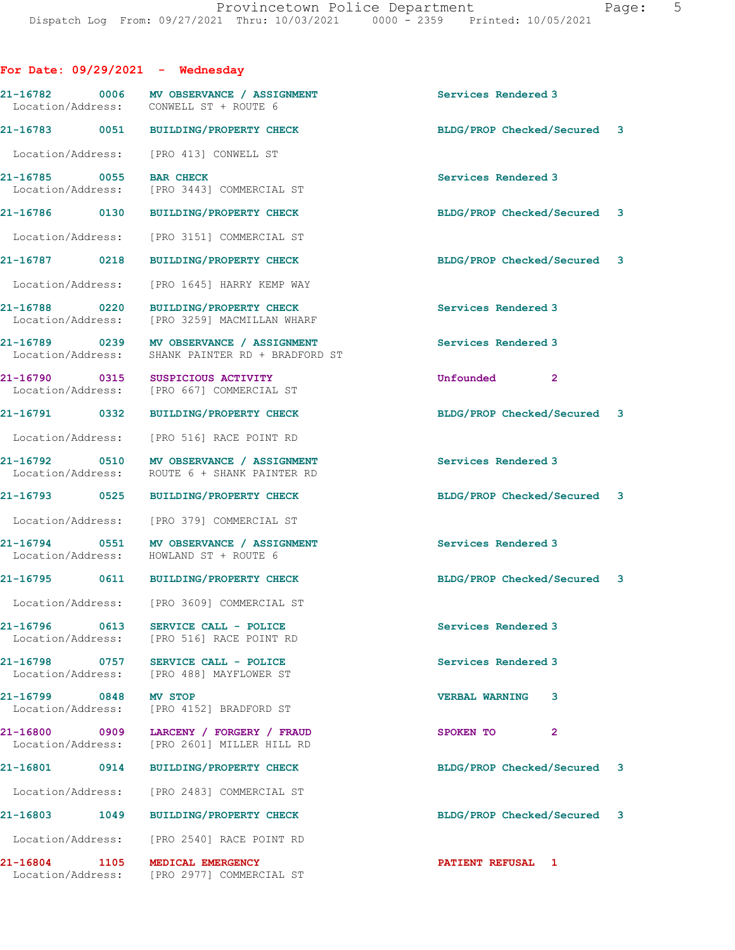| For Date: $09/29/2021$ - Wednesday     |                                                                            |                             |  |
|----------------------------------------|----------------------------------------------------------------------------|-----------------------------|--|
| Location/Address: CONWELL ST + ROUTE 6 | 21-16782 0006 MV OBSERVANCE / ASSIGNMENT                                   | Services Rendered 3         |  |
|                                        | 21-16783 0051 BUILDING/PROPERTY CHECK                                      | BLDG/PROP Checked/Secured 3 |  |
| Location/Address:                      | [PRO 413] CONWELL ST                                                       |                             |  |
| 21-16785 0055<br>Location/Address:     | <b>BAR CHECK</b><br>[PRO 3443] COMMERCIAL ST                               | Services Rendered 3         |  |
| 21-16786 0130                          | <b>BUILDING/PROPERTY CHECK</b>                                             | BLDG/PROP Checked/Secured 3 |  |
| Location/Address:                      | [PRO 3151] COMMERCIAL ST                                                   |                             |  |
| 21-16787 0218                          | BUILDING/PROPERTY CHECK                                                    | BLDG/PROP Checked/Secured 3 |  |
| Location/Address:                      | [PRO 1645] HARRY KEMP WAY                                                  |                             |  |
| 21-16788 0220<br>Location/Address:     | BUILDING/PROPERTY CHECK<br>[PRO 3259] MACMILLAN WHARF                      | Services Rendered 3         |  |
| Location/Address:                      | 21-16789 0239 MV OBSERVANCE / ASSIGNMENT<br>SHANK PAINTER RD + BRADFORD ST | Services Rendered 3         |  |
| 21-16790 0315                          | SUSPICIOUS ACTIVITY<br>Location/Address: [PRO 667] COMMERCIAL ST           | Unfounded<br>$\mathbf{2}$   |  |
| 21-16791 0332                          | <b>BUILDING/PROPERTY CHECK</b>                                             | BLDG/PROP Checked/Secured 3 |  |
| Location/Address:                      | [PRO 516] RACE POINT RD                                                    |                             |  |
| Location/Address:                      | 21-16792 0510 MV OBSERVANCE / ASSIGNMENT<br>ROUTE 6 + SHANK PAINTER RD     | Services Rendered 3         |  |
|                                        | 21-16793 0525 BUILDING/PROPERTY CHECK                                      | BLDG/PROP Checked/Secured 3 |  |
|                                        | Location/Address: [PRO 379] COMMERCIAL ST                                  |                             |  |
| Location/Address: HOWLAND ST + ROUTE 6 | 21-16794 0551 MV OBSERVANCE / ASSIGNMENT                                   | Services Rendered 3         |  |
|                                        | 21-16795 0611 BUILDING/PROPERTY CHECK                                      | BLDG/PROP Checked/Secured 3 |  |
| Location/Address:                      | [PRO 3609] COMMERCIAL ST                                                   |                             |  |
| 21-16796 0613                          | SERVICE CALL - POLICE<br>Location/Address: [PRO 516] RACE POINT RD         | Services Rendered 3         |  |
| 21-16798 0757<br>Location/Address:     | SERVICE CALL - POLICE<br>[PRO 488] MAYFLOWER ST                            | Services Rendered 3         |  |
| 21-16799 0848                          | <b>MV STOP</b><br>Location/Address: [PRO 4152] BRADFORD ST                 | <b>VERBAL WARNING</b><br>3  |  |
| Location/Address:                      | 21-16800 0909 LARCENY / FORGERY / FRAUD<br>[PRO 2601] MILLER HILL RD       | SPOKEN TO<br>$\overline{2}$ |  |
| 21-16801 0914                          | BUILDING/PROPERTY CHECK                                                    | BLDG/PROP Checked/Secured 3 |  |
|                                        | Location/Address: [PRO 2483] COMMERCIAL ST                                 |                             |  |
| 21-16803<br>1049                       | BUILDING/PROPERTY CHECK                                                    | BLDG/PROP Checked/Secured 3 |  |
|                                        | Location/Address: [PRO 2540] RACE POINT RD                                 |                             |  |
| 21-16804 1105                          | MEDICAL EMERGENCY<br>Location/Address: [PRO 2977] COMMERCIAL ST            | PATIENT REFUSAL 1           |  |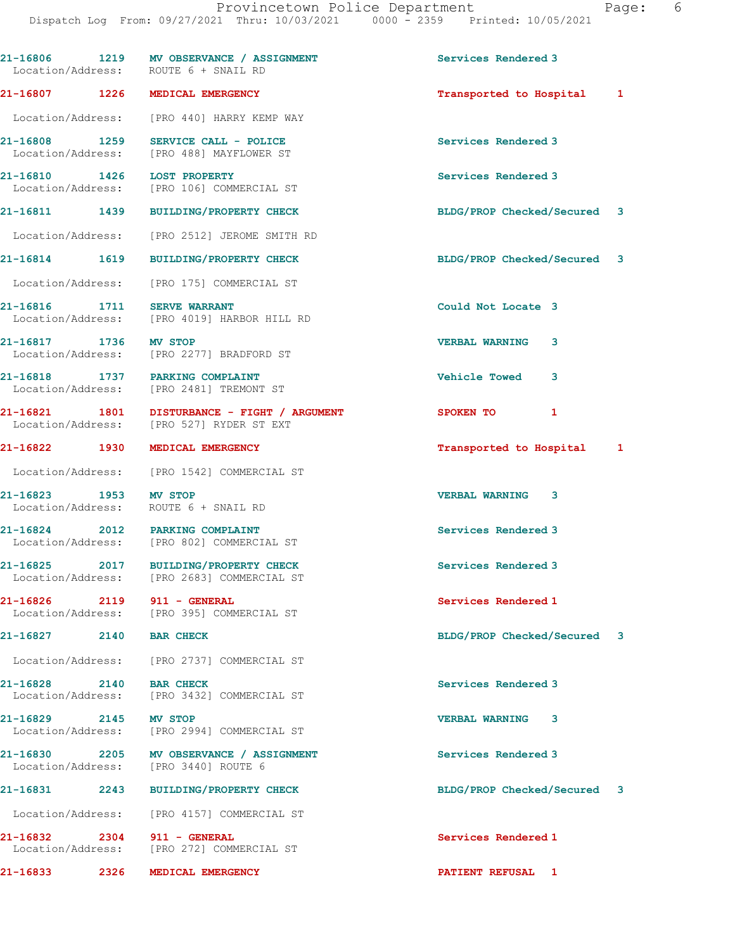|                             | 21-16806 1219 MV OBSERVANCE / ASSIGNMENT<br>Location/Address: ROUTE 6 + SNAIL RD         | Services Rendered 3         |   |
|-----------------------------|------------------------------------------------------------------------------------------|-----------------------------|---|
|                             | 21-16807 1226 MEDICAL EMERGENCY                                                          | Transported to Hospital 1   |   |
|                             | Location/Address: [PRO 440] HARRY KEMP WAY                                               |                             |   |
|                             | 21-16808 1259 SERVICE CALL - POLICE<br>Location/Address: [PRO 488] MAYFLOWER ST          | Services Rendered 3         |   |
| 21-16810 1426 LOST PROPERTY | Location/Address: [PRO 106] COMMERCIAL ST                                                | Services Rendered 3         |   |
|                             | 21-16811 1439 BUILDING/PROPERTY CHECK                                                    | BLDG/PROP Checked/Secured 3 |   |
|                             | Location/Address: [PRO 2512] JEROME SMITH RD                                             |                             |   |
| 21-16814 1619               | <b>BUILDING/PROPERTY CHECK</b>                                                           | BLDG/PROP Checked/Secured 3 |   |
| Location/Address:           | [PRO 175] COMMERCIAL ST                                                                  |                             |   |
| 21-16816 1711 SERVE WARRANT | Location/Address: [PRO 4019] HARBOR HILL RD                                              | Could Not Locate 3          |   |
| 21-16817 1736 MV STOP       | Location/Address: [PRO 2277] BRADFORD ST                                                 | <b>VERBAL WARNING</b><br>3  |   |
|                             | 21-16818 1737 PARKING COMPLAINT<br>Location/Address: [PRO 2481] TREMONT ST               | <b>Vehicle Towed</b><br>3   |   |
|                             | 21-16821 1801 DISTURBANCE - FIGHT / ARGUMENT<br>Location/Address: [PRO 527] RYDER ST EXT | 1<br>SPOKEN TO              |   |
| 21-16822 1930               | MEDICAL EMERGENCY                                                                        | Transported to Hospital     | 1 |
|                             | Location/Address: [PRO 1542] COMMERCIAL ST                                               |                             |   |
| 21-16823 1953               | <b>MV STOP</b><br>Location/Address: ROUTE 6 + SNAIL RD                                   | <b>VERBAL WARNING</b><br>3  |   |
|                             | 21-16824 2012 PARKING COMPLAINT<br>Location/Address: [PRO 802] COMMERCIAL ST             | Services Rendered 3         |   |
|                             | 21-16825 2017 BUILDING/PROPERTY CHECK<br>Location/Address: [PRO 2683] COMMERCIAL ST      | Services Rendered 3         |   |
| 21-16826 2119 911 - GENERAL | Location/Address: [PRO 395] COMMERCIAL ST                                                | Services Rendered 1         |   |
| 21-16827 2140 BAR CHECK     |                                                                                          | BLDG/PROP Checked/Secured   | 3 |
|                             | Location/Address: [PRO 2737] COMMERCIAL ST                                               |                             |   |
| 21-16828 2140 BAR CHECK     | Location/Address: [PRO 3432] COMMERCIAL ST                                               | Services Rendered 3         |   |
| 21-16829 2145 MV STOP       | Location/Address: [PRO 2994] COMMERCIAL ST                                               | <b>VERBAL WARNING</b><br>3  |   |
|                             | 21-16830 2205 MV OBSERVANCE / ASSIGNMENT<br>Location/Address: [PRO 3440] ROUTE 6         | Services Rendered 3         |   |
|                             | 21-16831 2243 BUILDING/PROPERTY CHECK                                                    | BLDG/PROP Checked/Secured 3 |   |
|                             | Location/Address: [PRO 4157] COMMERCIAL ST                                               |                             |   |
| 21-16832 2304 911 - GENERAL | Location/Address: [PRO 272] COMMERCIAL ST                                                | Services Rendered 1         |   |
| 21-16833 2326               | MEDICAL EMERGENCY                                                                        | PATIENT REFUSAL 1           |   |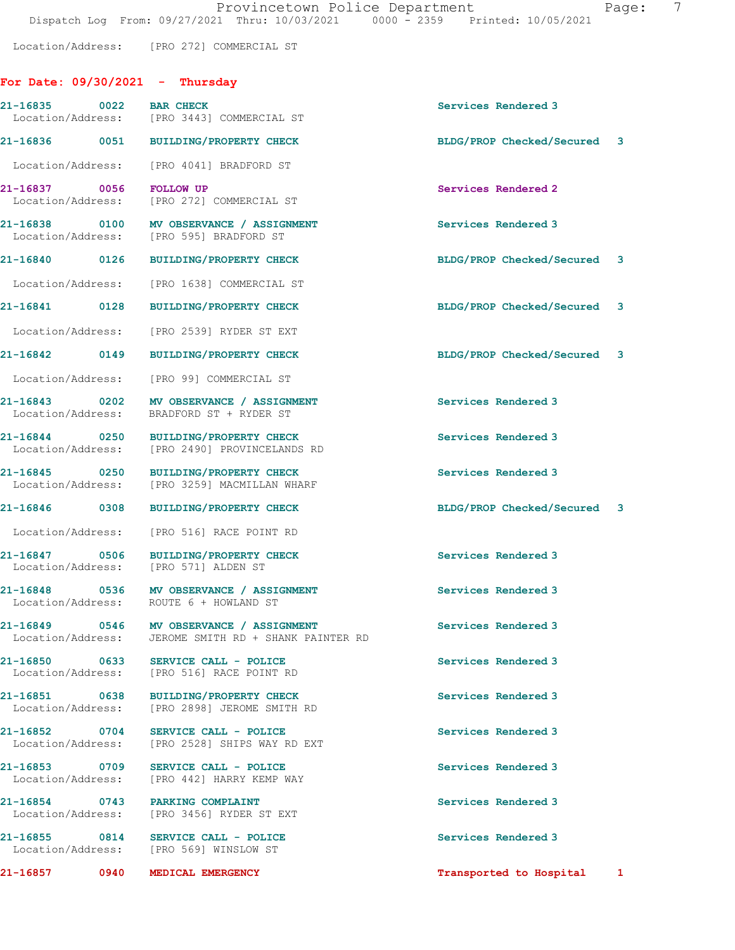Location/Address: [PRO 272] COMMERCIAL ST

|                                    | For Date: $09/30/2021$ - Thursday                                                                |                             |
|------------------------------------|--------------------------------------------------------------------------------------------------|-----------------------------|
| 21-16835 0022                      | <b>BAR CHECK</b><br>Location/Address: [PRO 3443] COMMERCIAL ST                                   | Services Rendered 3         |
|                                    | 21-16836 0051 BUILDING/PROPERTY CHECK                                                            | BLDG/PROP Checked/Secured 3 |
|                                    | Location/Address: [PRO 4041] BRADFORD ST                                                         |                             |
| 21-16837 0056<br>Location/Address: | <b>FOLLOW UP</b><br>[PRO 272] COMMERCIAL ST                                                      | Services Rendered 2         |
|                                    | 21-16838 0100 MV OBSERVANCE / ASSIGNMENT<br>Location/Address: [PRO 595] BRADFORD ST              | Services Rendered 3         |
| 21-16840 0126                      | <b>BUILDING/PROPERTY CHECK</b>                                                                   | BLDG/PROP Checked/Secured 3 |
|                                    | Location/Address: [PRO 1638] COMMERCIAL ST                                                       |                             |
| 21-16841 0128                      | BUILDING/PROPERTY CHECK                                                                          | BLDG/PROP Checked/Secured 3 |
| Location/Address:                  | [PRO 2539] RYDER ST EXT                                                                          |                             |
| 21-16842 0149                      | <b>BUILDING/PROPERTY CHECK</b>                                                                   | BLDG/PROP Checked/Secured 3 |
|                                    | Location/Address: [PRO 99] COMMERCIAL ST                                                         |                             |
|                                    | 21-16843 0202 MV OBSERVANCE / ASSIGNMENT<br>Location/Address: BRADFORD ST + RYDER ST             | Services Rendered 3         |
| 21-16844 0250                      | BUILDING/PROPERTY CHECK<br>Location/Address: [PRO 2490] PROVINCELANDS RD                         | Services Rendered 3         |
| 21-16845 0250                      | <b>BUILDING/PROPERTY CHECK</b><br>Location/Address: [PRO 3259] MACMILLAN WHARF                   | Services Rendered 3         |
|                                    | 21-16846 0308 BUILDING/PROPERTY CHECK                                                            | BLDG/PROP Checked/Secured 3 |
| Location/Address:                  | [PRO 516] RACE POINT RD                                                                          |                             |
|                                    | 21-16847 0506 BUILDING/PROPERTY CHECK<br>Location/Address: [PRO 571] ALDEN ST                    | Services Rendered 3         |
|                                    | 21-16848 0536 MV OBSERVANCE / ASSIGNMENT<br>Location/Address: ROUTE 6 + HOWLAND ST               | Services Rendered 3         |
|                                    | 21-16849 0546 MV OBSERVANCE / ASSIGNMENT<br>Location/Address: JEROME SMITH RD + SHANK PAINTER RD | Services Rendered 3         |
|                                    | 21-16850 0633 SERVICE CALL - POLICE<br>Location/Address: [PRO 516] RACE POINT RD                 | Services Rendered 3         |
| 21-16851 0638                      | <b>BUILDING/PROPERTY CHECK</b><br>Location/Address: [PRO 2898] JEROME SMITH RD                   | Services Rendered 3         |
| 21-16852 0704                      | SERVICE CALL - POLICE<br>Location/Address: [PRO 2528] SHIPS WAY RD EXT                           | Services Rendered 3         |
| 21-16853 0709<br>Location/Address: | SERVICE CALL - POLICE<br>[PRO 442] HARRY KEMP WAY                                                | Services Rendered 3         |
| Location/Address:                  | 21-16854 0743 PARKING COMPLAINT<br>[PRO 3456] RYDER ST EXT                                       | Services Rendered 3         |
| Location/Address:                  | 21-16855 0814 SERVICE CALL - POLICE<br>[PRO 569] WINSLOW ST                                      | Services Rendered 3         |
| 21-16857<br>0940                   | MEDICAL EMERGENCY                                                                                | Transported to Hospital 1   |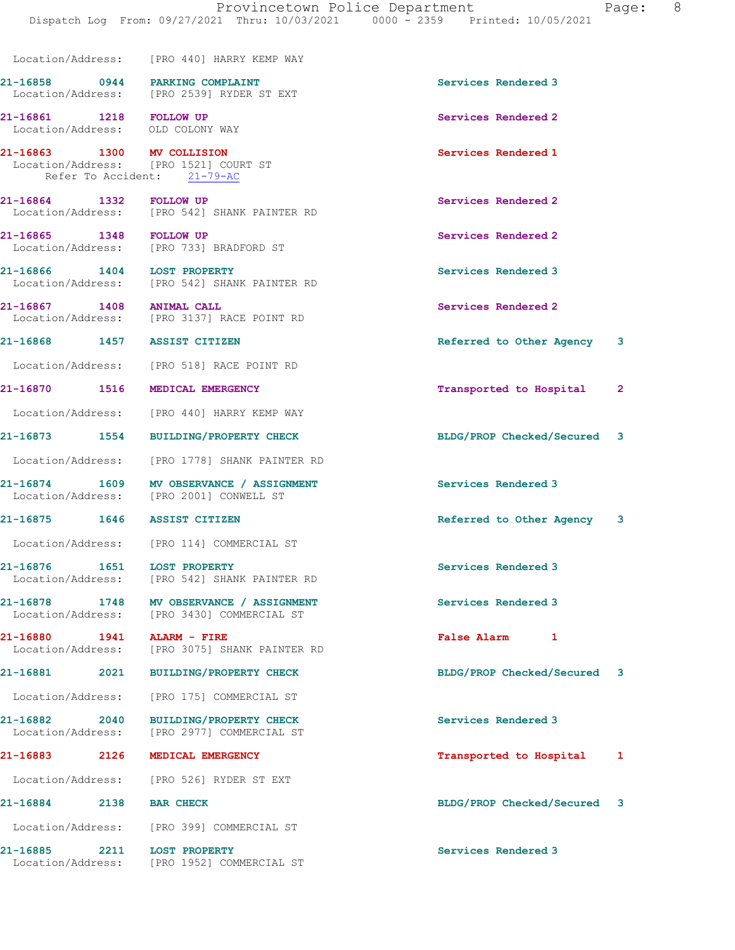Dispatch Log From: 09/27/2021 Thru: 10/03/2021 0000 - 2359 Printed: 10/05/2021

 Location/Address: [PRO 440] HARRY KEMP WAY 21-16858 0944 PARKING COMPLAINT Services Rendered 3 Location/Address: [PRO 2539] RYDER ST EXT

Location/Address: OLD COLONY WAY

21-16863 1300 MV COLLISION 100 Services Rendered 1<br>
Location/Address: [PRO 1521] COURT ST [PRO 1521] COURT ST Refer To Accident: 21-79-AC

21-16864 1332 FOLLOW UP Services Rendered 2 Location/Address: [PRO 542] SHANK PAINTER RD

21-16865 1348 FOLLOW UP Services Rendered 2 Location/Address: [PRO 733] BRADFORD ST

21-16866 1404 LOST PROPERTY<br>
Location/Address: [PRO 542] SHANK PAINTER RD<br>
Services Rendered 3 [PRO 542] SHANK PAINTER RD

21-16867 1408 ANIMAL CALL Services Rendered 2 Location/Address: [PRO 3137] RACE POINT RD

Location/Address: [PRO 518] RACE POINT RD

21-16870 1516 MEDICAL EMERGENCY Transported to Hospital 2

Location/Address: [PRO 440] HARRY KEMP WAY

Location/Address: [PRO 1778] SHANK PAINTER RD

21-16874 1609 MV OBSERVANCE / ASSIGNMENT Services Rendered 3<br>
Location/Address: [PRO 2001] CONWELL ST [PRO 2001] CONWELL ST

Location/Address: [PRO 114] COMMERCIAL ST

21-16876 1651 LOST PROPERTY Services Rendered 3 Location/Address: [PRO 542] SHANK PAINTER RD

21-16878 1748 MV OBSERVANCE / ASSIGNMENT Services Rendered 3 Location/Address: [PRO 3430] COMMERCIAL ST

21-16880 1941 ALARM - FIRE False Alarm 1 [PRO 3075] SHANK PAINTER RD

Location/Address: [PRO 175] COMMERCIAL ST

21-16882 2040 BUILDING/PROPERTY CHECK Services Rendered 3 Location/Address: [PRO 2977] COMMERCIAL ST

Location/Address: [PRO 526] RYDER ST EXT

Location/Address: [PRO 399] COMMERCIAL ST

21-16885 2211 LOST PROPERTY Services Rendered 3 Location/Address: [PRO 1952] COMMERCIAL ST

21-16861 1218 FOLLOW UP Services Rendered 2

21-16868 1457 ASSIST CITIZEN Referred to Other Agency 3

21-16873 1554 BUILDING/PROPERTY CHECK BLDG/PROP Checked/Secured 3

21-16875 1646 ASSIST CITIZEN **Referred** to Other Agency 3

21-16881 2021 BUILDING/PROPERTY CHECK BLDG/PROP Checked/Secured 3

21-16883 2126 MEDICAL EMERGENCY Transported to Hospital 1

21-16884 2138 BAR CHECK BLDG/PROP Checked/Secured 3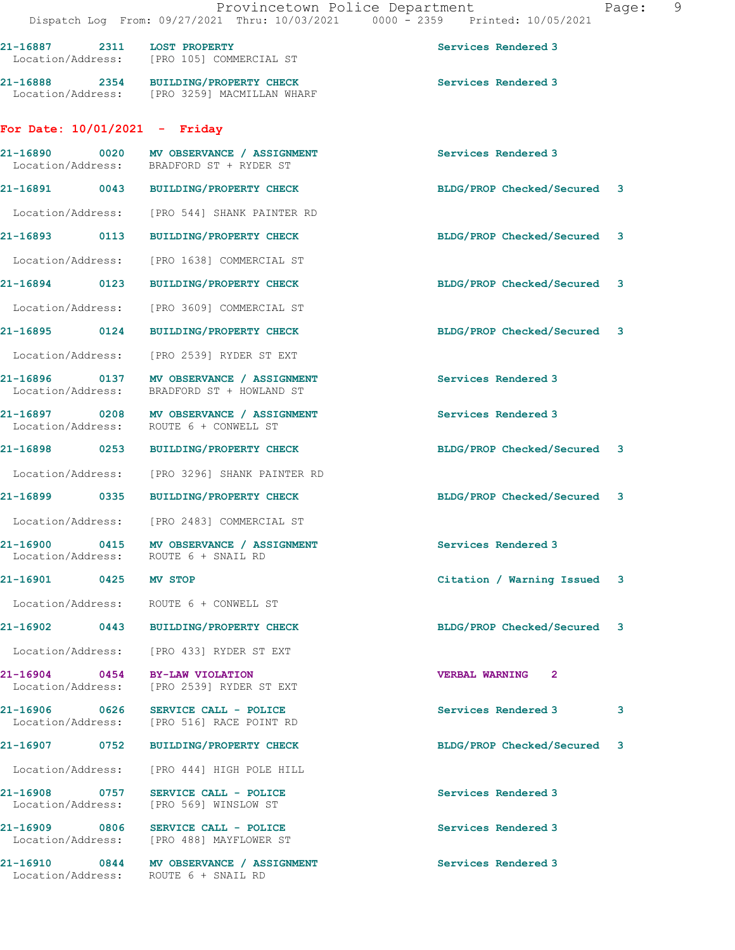21-16888 2354 BUILDING/PROPERTY CHECK Services Rendered 3 Location/Address: [PRO 3259] MACMILLAN WHARF

## For Date: 10/01/2021 - Friday

|                                    |      | 21-16890 0020 MV OBSERVANCE / ASSIGNMENT<br>Location/Address: BRADFORD ST + RYDER ST | Services Rendered 3                     |   |
|------------------------------------|------|--------------------------------------------------------------------------------------|-----------------------------------------|---|
|                                    |      | 21-16891 0043 BUILDING/PROPERTY CHECK                                                | BLDG/PROP Checked/Secured 3             |   |
| Location/Address:                  |      | [PRO 544] SHANK PAINTER RD                                                           |                                         |   |
| 21-16893 0113                      |      | <b>BUILDING/PROPERTY CHECK</b>                                                       | BLDG/PROP Checked/Secured 3             |   |
| Location/Address:                  |      | [PRO 1638] COMMERCIAL ST                                                             |                                         |   |
| 21-16894 0123                      |      | <b>BUILDING/PROPERTY CHECK</b>                                                       | BLDG/PROP Checked/Secured 3             |   |
| Location/Address:                  |      | [PRO 3609] COMMERCIAL ST                                                             |                                         |   |
| 21-16895 0124                      |      | <b>BUILDING/PROPERTY CHECK</b>                                                       | BLDG/PROP Checked/Secured 3             |   |
|                                    |      | Location/Address: [PRO 2539] RYDER ST EXT                                            |                                         |   |
| Location/Address:                  |      | BRADFORD ST + HOWLAND ST                                                             | Services Rendered 3                     |   |
|                                    |      | 21-16897 0208 MV OBSERVANCE / ASSIGNMENT<br>Location/Address: ROUTE 6 + CONWELL ST   | Services Rendered 3                     |   |
|                                    |      | 21-16898 0253 BUILDING/PROPERTY CHECK                                                | BLDG/PROP Checked/Secured 3             |   |
| Location/Address:                  |      | [PRO 3296] SHANK PAINTER RD                                                          |                                         |   |
| 21-16899 0335                      |      | <b>BUILDING/PROPERTY CHECK</b>                                                       | BLDG/PROP Checked/Secured 3             |   |
| Location/Address:                  |      | [PRO 2483] COMMERCIAL ST                                                             |                                         |   |
|                                    |      | 21-16900 0415 MV OBSERVANCE / ASSIGNMENT<br>Location/Address: ROUTE 6 + SNAIL RD     | Services Rendered 3                     |   |
| 21-16901 0425                      |      | <b>MV STOP</b>                                                                       | Citation / Warning Issued 3             |   |
| Location/Address:                  |      | ROUTE 6 + CONWELL ST                                                                 |                                         |   |
| 21-16902 0443                      |      | <b>BUILDING/PROPERTY CHECK</b>                                                       | BLDG/PROP Checked/Secured 3             |   |
|                                    |      | Location/Address: [PRO 433] RYDER ST EXT                                             |                                         |   |
| 21-16904<br>Location/Address:      | 0454 | BY-LAW VIOLATION<br>[PRO 2539] RYDER ST EXT                                          | <b>VERBAL WARNING</b><br>$\overline{2}$ |   |
| 21-16906 0626<br>Location/Address: |      | SERVICE CALL - POLICE<br>[PRO 516] RACE POINT RD                                     | Services Rendered 3                     | 3 |
| 21-16907                           | 0752 | <b>BUILDING/PROPERTY CHECK</b>                                                       | BLDG/PROP Checked/Secured               | 3 |
| Location/Address:                  |      | [PRO 444] HIGH POLE HILL                                                             |                                         |   |
| 21-16908 0757<br>Location/Address: |      | SERVICE CALL - POLICE<br>[PRO 569] WINSLOW ST                                        | Services Rendered 3                     |   |
| 21-16909 0806<br>Location/Address: |      | SERVICE CALL - POLICE<br>[PRO 488] MAYFLOWER ST                                      | Services Rendered 3                     |   |
| 21-16910<br>Location/Address:      | 0844 | MV OBSERVANCE / ASSIGNMENT<br>ROUTE 6 + SNAIL RD                                     | Services Rendered 3                     |   |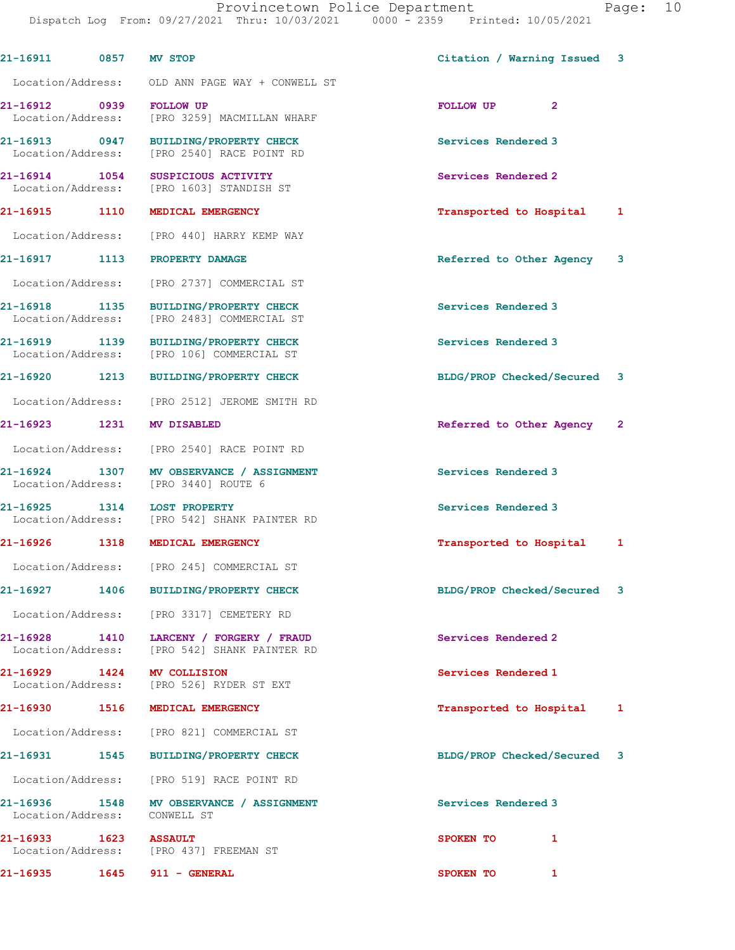| 21-16911 0857 MV STOP              |                                                                                         | Citation / Warning Issued 3 |              |
|------------------------------------|-----------------------------------------------------------------------------------------|-----------------------------|--------------|
|                                    | Location/Address: OLD ANN PAGE WAY + CONWELL ST                                         |                             |              |
| 21-16912 0939 FOLLOW UP            | Location/Address: [PRO 3259] MACMILLAN WHARF                                            | FOLLOW UP<br>$\mathbf{2}$   |              |
| Location/Address:                  | 21-16913 0947 BUILDING/PROPERTY CHECK<br>[PRO 2540] RACE POINT RD                       | Services Rendered 3         |              |
| 21-16914 1054                      | SUSPICIOUS ACTIVITY<br>Location/Address: [PRO 1603] STANDISH ST                         | Services Rendered 2         |              |
| 21-16915 1110                      | <b>MEDICAL EMERGENCY</b>                                                                | Transported to Hospital     | 1            |
|                                    | Location/Address: [PRO 440] HARRY KEMP WAY                                              |                             |              |
| 21-16917 1113                      | <b>PROPERTY DAMAGE</b>                                                                  | Referred to Other Agency    | 3            |
| Location/Address:                  | [PRO 2737] COMMERCIAL ST                                                                |                             |              |
| 21-16918 1135<br>Location/Address: | <b>BUILDING/PROPERTY CHECK</b><br>[PRO 2483] COMMERCIAL ST                              | Services Rendered 3         |              |
| 21-16919 1139                      | <b>BUILDING/PROPERTY CHECK</b><br>Location/Address: [PRO 106] COMMERCIAL ST             | Services Rendered 3         |              |
| 21-16920 1213                      | <b>BUILDING/PROPERTY CHECK</b>                                                          | BLDG/PROP Checked/Secured 3 |              |
|                                    | Location/Address: [PRO 2512] JEROME SMITH RD                                            |                             |              |
| 21-16923 1231                      | <b>MV DISABLED</b>                                                                      | Referred to Other Agency    | $\mathbf{2}$ |
|                                    | Location/Address: [PRO 2540] RACE POINT RD                                              |                             |              |
|                                    | 21-16924 1307 MV OBSERVANCE / ASSIGNMENT<br>Location/Address: [PRO 3440] ROUTE 6        | Services Rendered 3         |              |
|                                    | 21-16925 1314 LOST PROPERTY<br>Location/Address: [PRO 542] SHANK PAINTER RD             | Services Rendered 3         |              |
|                                    | 21-16926 1318 MEDICAL EMERGENCY                                                         | Transported to Hospital     | 1            |
|                                    | Location/Address: [PRO 245] COMMERCIAL ST                                               |                             |              |
|                                    | 21-16927 1406 BUILDING/PROPERTY CHECK                                                   | BLDG/PROP Checked/Secured   | 3            |
|                                    | Location/Address: [PRO 3317] CEMETERY RD                                                |                             |              |
|                                    | 21-16928 1410 LARCENY / FORGERY / FRAUD<br>Location/Address: [PRO 542] SHANK PAINTER RD | Services Rendered 2         |              |
|                                    | 21-16929 1424 MV COLLISION<br>Location/Address: [PRO 526] RYDER ST EXT                  | Services Rendered 1         |              |
|                                    | 21-16930 1516 MEDICAL EMERGENCY                                                         | Transported to Hospital     | 1            |
|                                    | Location/Address: [PRO 821] COMMERCIAL ST                                               |                             |              |
|                                    | 21-16931 1545 BUILDING/PROPERTY CHECK                                                   | BLDG/PROP Checked/Secured 3 |              |
|                                    | Location/Address: [PRO 519] RACE POINT RD                                               |                             |              |
| Location/Address: CONWELL ST       | 21-16936 1548 MV OBSERVANCE / ASSIGNMENT                                                | Services Rendered 3         |              |
| 21-16933 1623 ASSAULT              | Location/Address: [PRO 437] FREEMAN ST                                                  | SPOKEN TO<br>$\mathbf{1}$   |              |
| 21-16935 1645                      | 911 - GENERAL                                                                           | SPOKEN TO<br>$\mathbf{1}$   |              |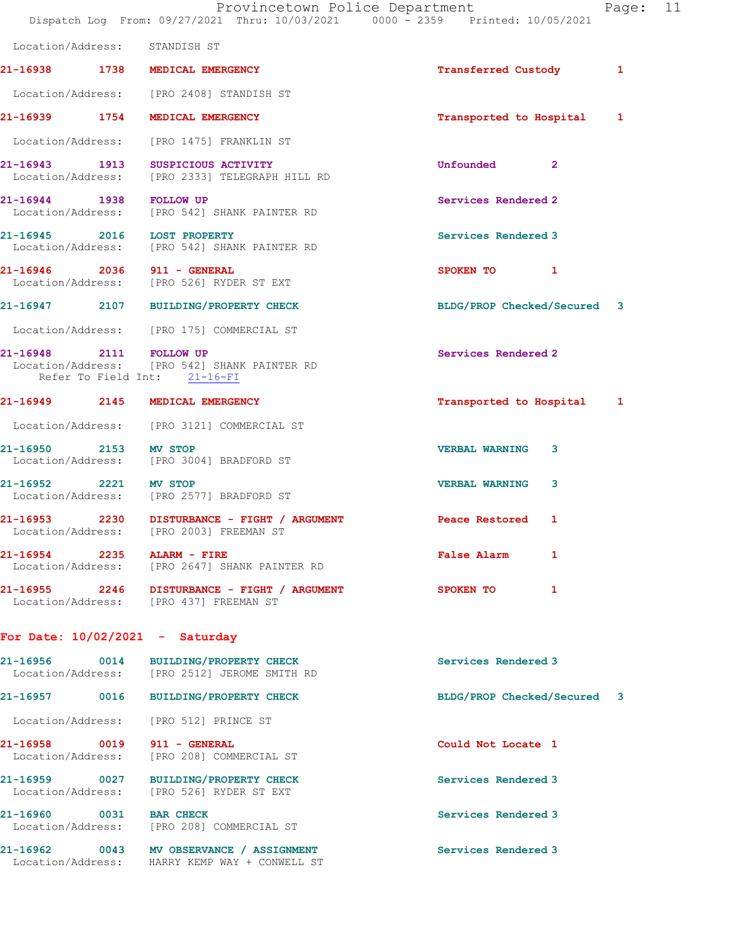|                                    |                                                                                         | Provincetown Police Department<br>Page: 11<br>Dispatch Log From: 09/27/2021 Thru: 10/03/2021 0000 - 2359 Printed: 10/05/2021 |  |
|------------------------------------|-----------------------------------------------------------------------------------------|------------------------------------------------------------------------------------------------------------------------------|--|
| Location/Address: STANDISH ST      |                                                                                         |                                                                                                                              |  |
|                                    | 21-16938 1738 MEDICAL EMERGENCY                                                         | <b>Transferred Custody</b><br>1                                                                                              |  |
|                                    | Location/Address: [PRO 2408] STANDISH ST                                                |                                                                                                                              |  |
|                                    | 21-16939 1754 MEDICAL EMERGENCY                                                         | Transported to Hospital 1                                                                                                    |  |
|                                    | Location/Address: [PRO 1475] FRANKLIN ST                                                |                                                                                                                              |  |
|                                    | 21-16943 1913 SUSPICIOUS ACTIVITY<br>Location/Address: [PRO 2333] TELEGRAPH HILL RD     | Unfounded<br>$\mathbf{2}$                                                                                                    |  |
| 21-16944 1938 FOLLOW UP            | Location/Address: [PRO 542] SHANK PAINTER RD                                            | Services Rendered 2                                                                                                          |  |
| 21-16945 2016 LOST PROPERTY        | Location/Address: [PRO 542] SHANK PAINTER RD                                            | Services Rendered 3                                                                                                          |  |
| 21-16946 2036 911 - GENERAL        | Location/Address: [PRO 526] RYDER ST EXT                                                | SPOKEN TO 1                                                                                                                  |  |
|                                    | 21-16947 2107 BUILDING/PROPERTY CHECK                                                   | BLDG/PROP Checked/Secured 3                                                                                                  |  |
|                                    | Location/Address: [PRO 175] COMMERCIAL ST                                               |                                                                                                                              |  |
| 21-16948 2111 FOLLOW UP            | Location/Address: [PRO 542] SHANK PAINTER RD<br>Refer To Field Int: 21-16-FI            | Services Rendered 2                                                                                                          |  |
|                                    | 21-16949 2145 MEDICAL EMERGENCY                                                         | Transported to Hospital 1                                                                                                    |  |
|                                    | Location/Address: [PRO 3121] COMMERCIAL ST                                              |                                                                                                                              |  |
| 21-16950 2153 MV STOP              | Location/Address: [PRO 3004] BRADFORD ST                                                | <b>VERBAL WARNING</b><br>3                                                                                                   |  |
| 21-16952 2221 MV STOP              | Location/Address: [PRO 2577] BRADFORD ST                                                | <b>VERBAL WARNING</b><br>3                                                                                                   |  |
|                                    | 21-16953 2230 DISTURBANCE - FIGHT / ARGUMENT<br>Location/Address: [PRO 2003] FREEMAN ST | Peace Restored<br>1                                                                                                          |  |
| 21-16954 2235<br>Location/Address: | ALARM - FIRE<br>[PRO 2647] SHANK PAINTER RD                                             | <b>False Alarm</b><br>1                                                                                                      |  |
| 21-16955 2246                      | DISTURBANCE - FIGHT / ARGUMENT<br>Location/Address: [PRO 437] FREEMAN ST                | SPOKEN TO<br>1                                                                                                               |  |
| For Date: $10/02/2021$ - Saturday  |                                                                                         |                                                                                                                              |  |
| 21-16956<br>Location/Address:      | 0014 BUILDING/PROPERTY CHECK<br>[PRO 2512] JEROME SMITH RD                              | Services Rendered 3                                                                                                          |  |
| 0016<br>21-16957                   | <b>BUILDING/PROPERTY CHECK</b>                                                          | BLDG/PROP Checked/Secured 3                                                                                                  |  |

Location/Address: [PRO 512] PRINCE ST

21-16958 0019 911 - GENERAL Could Not Locate 1 Location/Address: [PRO 208] COMMERCIAL ST

21-16960 0031 BAR CHECK Services Rendered 3

21-16959 0027 BUILDING/PROPERTY CHECK Services Rendered 3 Location/Address: [PRO 526] RYDER ST EXT

Location/Address: [PRO 208] COMMERCIAL ST

21-16962 0043 MV OBSERVANCE / ASSIGNMENT Services Rendered 3 Location/Address: HARRY KEMP WAY + CONWELL ST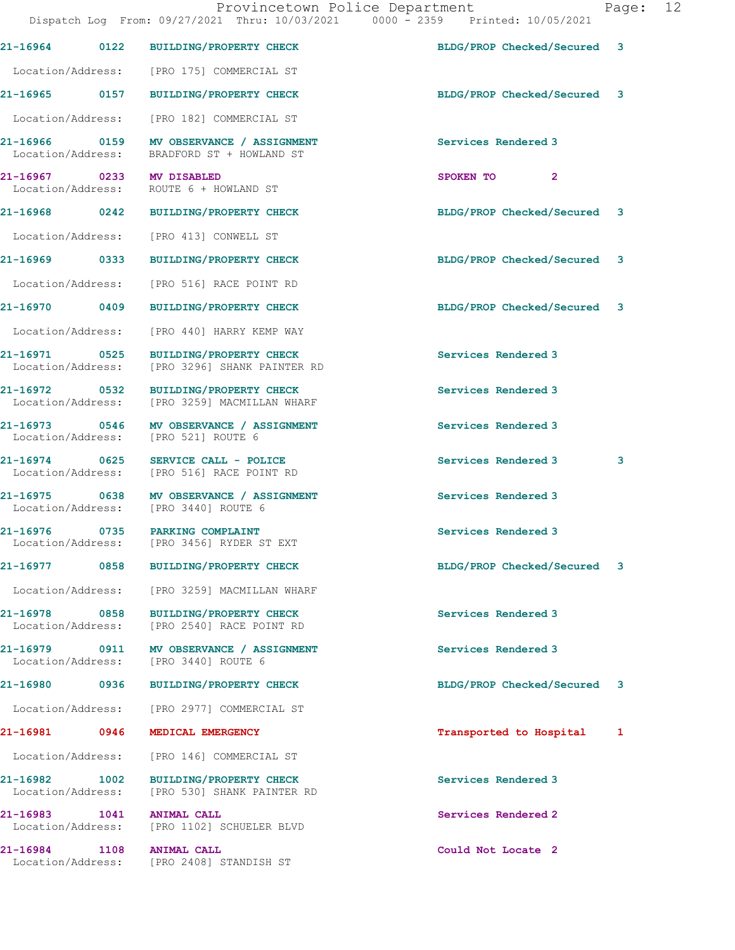|                                    |      | 21-16964 0122 BUILDING/PROPERTY CHECK                                                  | BLDG/PROP Checked/Secured 3 |   |
|------------------------------------|------|----------------------------------------------------------------------------------------|-----------------------------|---|
|                                    |      | Location/Address: [PRO 175] COMMERCIAL ST                                              |                             |   |
|                                    |      | 21-16965 0157 BUILDING/PROPERTY CHECK                                                  | BLDG/PROP Checked/Secured 3 |   |
|                                    |      | Location/Address: [PRO 182] COMMERCIAL ST                                              |                             |   |
|                                    |      | 21-16966 0159 MV OBSERVANCE / ASSIGNMENT<br>Location/Address: BRADFORD ST + HOWLAND ST | Services Rendered 3         |   |
| 21-16967 0233 MV DISABLED          |      | Location/Address: ROUTE 6 + HOWLAND ST                                                 | SPOKEN TO 2                 |   |
|                                    |      | 21-16968 0242 BUILDING/PROPERTY CHECK                                                  | BLDG/PROP Checked/Secured 3 |   |
|                                    |      | Location/Address: [PRO 413] CONWELL ST                                                 |                             |   |
|                                    |      | 21-16969 0333 BUILDING/PROPERTY CHECK                                                  | BLDG/PROP Checked/Secured 3 |   |
|                                    |      | Location/Address: [PRO 516] RACE POINT RD                                              |                             |   |
|                                    |      | 21-16970 0409 BUILDING/PROPERTY CHECK                                                  | BLDG/PROP Checked/Secured 3 |   |
|                                    |      | Location/Address: [PRO 440] HARRY KEMP WAY                                             |                             |   |
|                                    |      | 21-16971 0525 BUILDING/PROPERTY CHECK<br>Location/Address: [PRO 3296] SHANK PAINTER RD | Services Rendered 3         |   |
|                                    |      | 21-16972 0532 BUILDING/PROPERTY CHECK<br>Location/Address: [PRO 3259] MACMILLAN WHARF  | Services Rendered 3         |   |
|                                    |      | 21-16973 0546 MV OBSERVANCE / ASSIGNMENT<br>Location/Address: [PRO 521] ROUTE 6        | Services Rendered 3         |   |
|                                    |      | 21-16974 0625 SERVICE CALL - POLICE<br>Location/Address: [PRO 516] RACE POINT RD       | Services Rendered 3         | 3 |
|                                    |      | 21-16975 0638 MV OBSERVANCE / ASSIGNMENT<br>Location/Address: [PRO 3440] ROUTE 6       | Services Rendered 3         |   |
|                                    |      | 21-16976 0735 PARKING COMPLAINT<br>Location/Address: [PRO 3456] RYDER ST EXT           | Services Rendered 3         |   |
| 21-16977                           | 0858 | <b>BUILDING/PROPERTY CHECK</b>                                                         | BLDG/PROP Checked/Secured   | 3 |
| Location/Address:                  |      | [PRO 3259] MACMILLAN WHARF                                                             |                             |   |
| 21-16978 0858<br>Location/Address: |      | <b>BUILDING/PROPERTY CHECK</b><br>[PRO 2540] RACE POINT RD                             | Services Rendered 3         |   |
|                                    |      | 21-16979 0911 MV OBSERVANCE / ASSIGNMENT<br>Location/Address: [PRO 3440] ROUTE 6       | Services Rendered 3         |   |
| 21-16980 0936                      |      | <b>BUILDING/PROPERTY CHECK</b>                                                         | BLDG/PROP Checked/Secured   | 3 |
| Location/Address:                  |      | [PRO 2977] COMMERCIAL ST                                                               |                             |   |
| 21-16981 0946                      |      | MEDICAL EMERGENCY                                                                      | Transported to Hospital     | 1 |
| Location/Address:                  |      | [PRO 146] COMMERCIAL ST                                                                |                             |   |
| 21-16982 1002<br>Location/Address: |      | <b>BUILDING/PROPERTY CHECK</b><br>[PRO 530] SHANK PAINTER RD                           | Services Rendered 3         |   |
| 21-16983 1041                      |      | <b>ANIMAL CALL</b><br>Location/Address: [PRO 1102] SCHUELER BLVD                       | Services Rendered 2         |   |
| 21-16984 1108<br>Location/Address: |      | <b>ANIMAL CALL</b><br>[PRO 2408] STANDISH ST                                           | Could Not Locate 2          |   |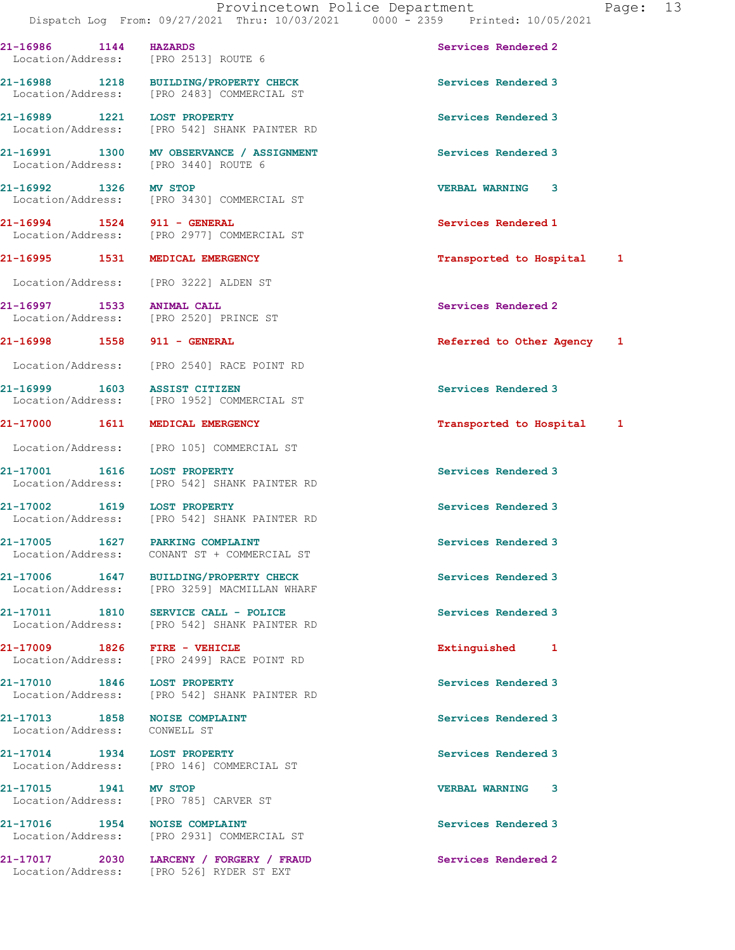21-16986 1144 HAZARDS Services Rendered 2 Location/Address: [PRO 2513] ROUTE 6 21-16988 1218 BUILDING/PROPERTY CHECK Services Rendered 3 Location/Address: [PRO 2483] COMMERCIAL ST 21-16989 1221 LOST PROPERTY Services Rendered 3 Location/Address: [PRO 542] SHANK PAINTER RD 21-16991 1300 MV OBSERVANCE / ASSIGNMENT Services Rendered 3 Location/Address: [PRO 3440] ROUTE 6 21-16992 1326 MV STOP VERBAL WARNING 3 Location/Address: [PRO 3430] COMMERCIAL ST 21-16994 1524 911 - GENERAL Services Rendered 1 Location/Address: [PRO 2977] COMMERCIAL ST 21-16995 1531 MEDICAL EMERGENCY Transported to Hospital 1 Location/Address: [PRO 3222] ALDEN ST 21-16997 1533 ANIMAL CALL Services Rendered 2 Location/Address: [PRO 2520] PRINCE ST 21-16998 1558 911 - GENERAL Referred to Other Agency 1 Location/Address: [PRO 2540] RACE POINT RD 21-16999 1603 ASSIST CITIZEN Services Rendered 3 Location/Address: [PRO 1952] COMMERCIAL ST 21-17000 1611 MEDICAL EMERGENCY **1200** 1611 1 Location/Address: [PRO 105] COMMERCIAL ST 21-17001 1616 LOST PROPERTY Services Rendered 3 Location/Address: [PRO 542] SHANK PAINTER RD 21-17002 1619 LOST PROPERTY **120 CONTACT SERVICES Rendered 3**  Location/Address: [PRO 542] SHANK PAINTER RD 21-17005 1627 PARKING COMPLAINT Services Rendered 3 Location/Address: CONANT ST + COMMERCIAL ST 21-17006 1647 BUILDING/PROPERTY CHECK Services Rendered 3 Location/Address: [PRO 3259] MACMILLAN WHARF 21-17011 1810 SERVICE CALL - POLICE 21-17011 Services Rendered 3 Location/Address: [PRO 542] SHANK PAINTER RD 21-17009 1826 FIRE - VEHICLE Extinguished 1 Location/Address: [PRO 2499] RACE POINT RD 21-17010 1846 LOST PROPERTY<br>
Location/Address: [PRO 542] SHANK PAINTER RD<br>
Services Rendered 3 [PRO 542] SHANK PAINTER RD 21-17013 1858 NOISE COMPLAINT Services Rendered 3 Location/Address: CONWELL ST 21-17014 1934 LOST PROPERTY Services Rendered 3 Location/Address: [PRO 146] COMMERCIAL ST 21-17015 1941 MV STOP VERBAL WARNING 3 Location/Address: [PRO 785] CARVER ST 21-17016 1954 NOISE COMPLAINT<br>
Location/Address: [PRO 2931] COMMERCIAL ST [PRO 2931] COMMERCIAL ST

21-17017 2030 LARCENY / FORGERY / FRAUD Services Rendered 2

Location/Address: [PRO 526] RYDER ST EXT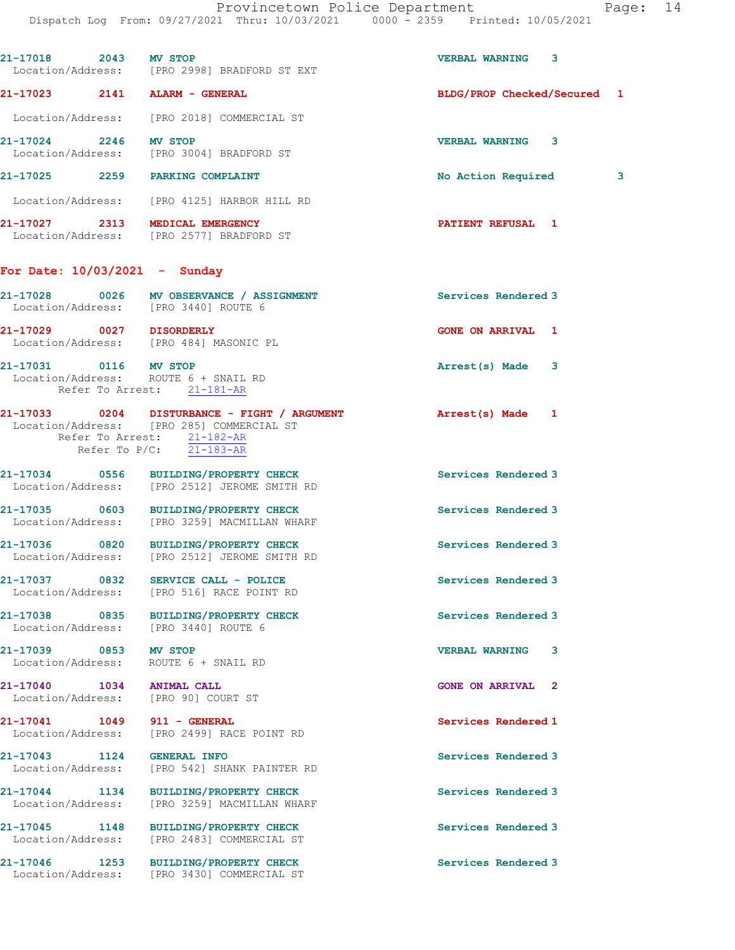21-17018 2043 MV STOP VERBAL WARNING 3 Location/Address: [PRO 2998] BRADFORD ST EXT 21-17023 2141 ALARM - GENERAL BLDG/PROP Checked/Secured 1 Location/Address: [PRO 2018] COMMERCIAL ST 21-17024 2246 MV STOP VERBAL WARNING 3 Location/Address: [PRO 3004] BRADFORD ST 21-17025 2259 PARKING COMPLAINT No Action Required 3 Location/Address: [PRO 4125] HARBOR HILL RD 21-17027 2313 MEDICAL EMERGENCY PATIENT REFUSAL 1 Location/Address: [PRO 2577] BRADFORD ST For Date: 10/03/2021 - Sunday 21-17028 0026 MV OBSERVANCE / ASSIGNMENT Services Rendered 3 Location/Address: [PRO 3440] ROUTE 6 21-17029 0027 DISORDERLY GONE ON ARRIVAL 1 Location/Address: [PRO 484] MASONIC PL 21-17031 0116 MV STOP Arrest(s) Made 3 Location/Address: ROUTE 6 + SNAIL RD Refer To Arrest: 21-181-AR 21-17033 0204 DISTURBANCE - FIGHT / ARGUMENT Arrest(s) Made 1 Location/Address: [PRO 285] COMMERCIAL ST Refer To Arrest:  $\frac{21-182-AR}{21-182-AR}$  Refer To P/C: 21-183-AR 21-17034 0556 BUILDING/PROPERTY CHECK Services Rendered 3 Location/Address: [PRO 2512] JEROME SMITH RD 21-17035 0603 BUILDING/PROPERTY CHECK Services Rendered 3 Location/Address: [PRO 3259] MACMILLAN WHARF 21-17036 0820 BUILDING/PROPERTY CHECK Services Rendered 3 Location/Address: [PRO 2512] JEROME SMITH RD 21-17037 0832 SERVICE CALL - POLICE Services Rendered 3 Location/Address: [PRO 516] RACE POINT RD 21-17038 0835 BUILDING/PROPERTY CHECK Services Rendered 3 Location/Address: [PRO 3440] ROUTE 6 21-17039 0853 MV STOP VERBAL WARNING 3 Location/Address: ROUTE 6 + SNAIL RD 21-17040 1034 ANIMAL CALL GONE ON ARRIVAL 2 Location/Address: [PRO 90] COURT ST 21-17041 1049 911 - GENERAL Services Rendered 1 Location/Address: [PRO 2499] RACE POINT RD 21-17043 1124 GENERAL INFO Services Rendered 3 Location/Address: [PRO 542] SHANK PAINTER RD 21-17044 1134 BUILDING/PROPERTY CHECK Services Rendered 3 Location/Address: [PRO 3259] MACMILLAN WHARF 21-17045 1148 BUILDING/PROPERTY CHECK Services Rendered 3 Location/Address: [PRO 2483] COMMERCIAL ST 21-17046 1253 BUILDING/PROPERTY CHECK Services Rendered 3 Location/Address: [PRO 3430] COMMERCIAL ST